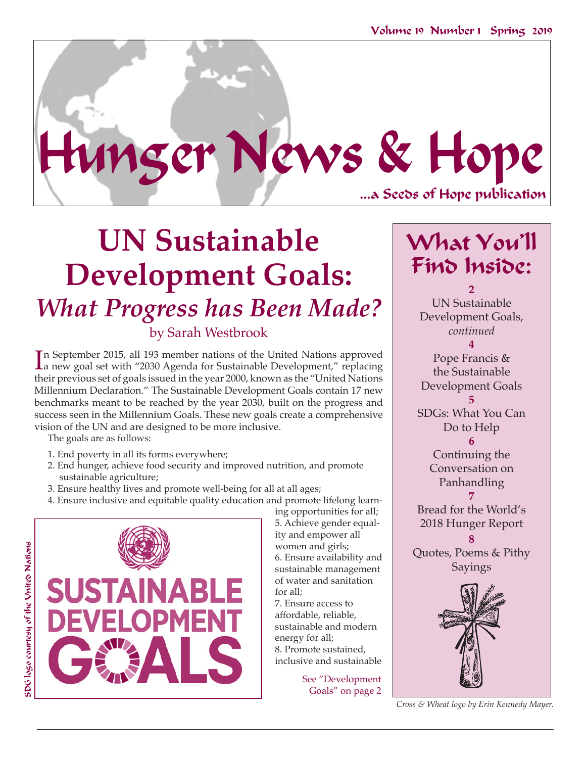

# **UN Sustainable Development Goals:**  *What Progress has Been Made?*

by Sarah Westbrook

In September 2015, all 193 member nations of the United Nations approved<br>a new goal set with "2030 Agenda for Sustainable Development," replacing<br>their precision at a focal signal in the space 2000 lumpur as the "United Na n September 2015, all 193 member nations of the United Nations approved their previous set of goals issued in the year 2000, known as the "United Nations Millennium Declaration." The Sustainable Development Goals contain 17 new benchmarks meant to be reached by the year 2030, built on the progress and success seen in the Millennium Goals. These new goals create a comprehensive vision of the UN and are designed to be more inclusive.

The goals are as follows:

- 1. End poverty in all its forms everywhere;
- 2. End hunger, achieve food security and improved nutrition, and promote sustainable agriculture;
- 3. Ensure healthy lives and promote well-being for all at all ages;
- 4. Ensure inclusive and equitable quality education and promote lifelong learn-

ing opportunities for all; 5. Achieve gender equality and empower all women and girls; 6. Ensure availability and sustainable management of water and sanitation for all; 7. Ensure access to

affordable, reliable, sustainable and modern energy for all; 8. Promote sustained, inclusive and sustainable

> See "Development Goals" on page 2

What You'll Find Inside:

**2**

UN Sustainable Development Goals, *continued* **4**  Pope Francis & the Sustainable Development Goals **5** SDGs: What You Can Do to Help **6** Continuing the Conversation on Panhandling **7** Bread for the World's 2018 Hunger Report **8** Quotes, Poems & Pithy Sayings



*Cross & Wheat logo by Erin Kennedy Mayer.* 

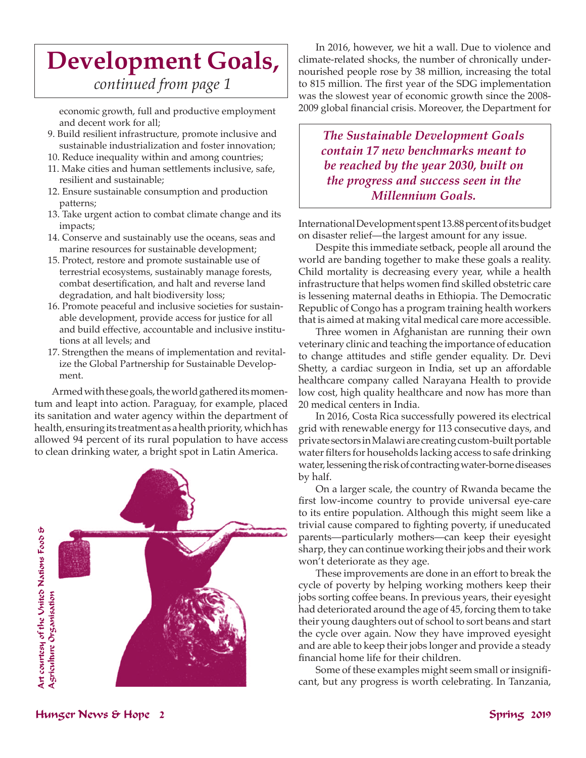## **Development Goals,**  *continued from page 1*

and decent work for all;

- 9. Build resilient infrastructure, promote inclusive and sustainable industrialization and foster innovation;
- 10. Reduce inequality within and among countries;
- 11. Make cities and human settlements inclusive, safe, resilient and sustainable;
- 12. Ensure sustainable consumption and production patterns;
- 13. Take urgent action to combat climate change and its impacts;
- 14. Conserve and sustainably use the oceans, seas and marine resources for sustainable development;
- 15. Protect, restore and promote sustainable use of terrestrial ecosystems, sustainably manage forests, combat desertification, and halt and reverse land degradation, and halt biodiversity loss;
- 16. Promote peaceful and inclusive societies for sustainable development, provide access for justice for all and build effective, accountable and inclusive institutions at all levels; and
- 17. Strengthen the means of implementation and revitalize the Global Partnership for Sustainable Development.

Armed with these goals, the world gathered its momentum and leapt into action. Paraguay, for example, placed its sanitation and water agency within the department of health, ensuring its treatment as a health priority, which has allowed 94 percent of its rural population to have access to clean drinking water, a bright spot in Latin America.



In 2016, however, we hit a wall. Due to violence and climate-related shocks, the number of chronically undernourished people rose by 38 million, increasing the total to 815 million. The first year of the SDG implementation was the slowest year of economic growth since the 2008 economic growth, full and productive employment 2009 global financial crisis. Moreover, the Department for

> *The Sustainable Development Goals contain 17 new benchmarks meant to be reached by the year 2030, built on the progress and success seen in the Millennium Goals.*

International Development spent 13.88 percent of its budget on disaster relief—the largest amount for any issue.

Despite this immediate setback, people all around the world are banding together to make these goals a reality. Child mortality is decreasing every year, while a health infrastructure that helps women find skilled obstetric care is lessening maternal deaths in Ethiopia. The Democratic Republic of Congo has a program training health workers that is aimed at making vital medical care more accessible.

Three women in Afghanistan are running their own veterinary clinic and teaching the importance of education to change attitudes and stifle gender equality. Dr. Devi Shetty, a cardiac surgeon in India, set up an affordable healthcare company called Narayana Health to provide low cost, high quality healthcare and now has more than 20 medical centers in India.

In 2016, Costa Rica successfully powered its electrical grid with renewable energy for 113 consecutive days, and private sectors in Malawi are creating custom-built portable water filters for households lacking access to safe drinking water, lessening the risk of contracting water-borne diseases by half.

On a larger scale, the country of Rwanda became the first low-income country to provide universal eye-care to its entire population. Although this might seem like a trivial cause compared to fighting poverty, if uneducated parents—particularly mothers—can keep their eyesight sharp, they can continue working their jobs and their work won't deteriorate as they age.

These improvements are done in an effort to break the cycle of poverty by helping working mothers keep their jobs sorting coffee beans. In previous years, their eyesight had deteriorated around the age of 45, forcing them to take their young daughters out of school to sort beans and start the cycle over again. Now they have improved eyesight and are able to keep their jobs longer and provide a steady financial home life for their children.

Some of these examples might seem small or insignificant, but any progress is worth celebrating. In Tanzania,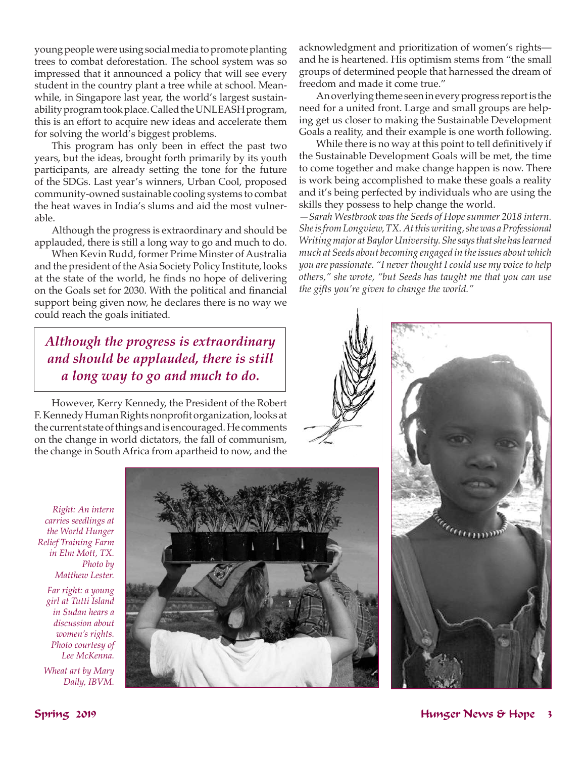young people were using social media to promote planting trees to combat deforestation. The school system was so impressed that it announced a policy that will see every student in the country plant a tree while at school. Meanwhile, in Singapore last year, the world's largest sustainability program took place. Called the UNLEASH program, this is an effort to acquire new ideas and accelerate them for solving the world's biggest problems.

This program has only been in effect the past two years, but the ideas, brought forth primarily by its youth participants, are already setting the tone for the future of the SDGs. Last year's winners, Urban Cool, proposed community-owned sustainable cooling systems to combat the heat waves in India's slums and aid the most vulnerable.

Although the progress is extraordinary and should be applauded, there is still a long way to go and much to do.

When Kevin Rudd, former Prime Minster of Australia and the president of the Asia Society Policy Institute, looks at the state of the world, he finds no hope of delivering on the Goals set for 2030. With the political and financial support being given now, he declares there is no way we could reach the goals initiated.

*Although the progress is extraordinary and should be applauded, there is still a long way to go and much to do.*

However, Kerry Kennedy, the President of the Robert F. Kennedy Human Rights nonprofit organization, looks at the current state of things and is encouraged. He comments on the change in world dictators, the fall of communism, the change in South Africa from apartheid to now, and the

acknowledgment and prioritization of women's rights and he is heartened. His optimism stems from "the small groups of determined people that harnessed the dream of freedom and made it come true."

An overlying theme seen in every progress report is the need for a united front. Large and small groups are helping get us closer to making the Sustainable Development Goals a reality, and their example is one worth following.

While there is no way at this point to tell definitively if the Sustainable Development Goals will be met, the time to come together and make change happen is now. There is work being accomplished to make these goals a reality and it's being perfected by individuals who are using the skills they possess to help change the world.

*—Sarah Westbrook was the Seeds of Hope summer 2018 intern. She is from Longview, TX. At this writing, she was a Professional Writing major at Baylor University. She says that she has learned much at Seeds about becoming engaged in the issues about which you are passionate. "I never thought I could use my voice to help others," she wrote, "but Seeds has taught me that you can use the gifts you're given to change the world."*



 *Right: An intern carries seedlings at the World Hunger Relief Training Farm in Elm Mott, TX. Photo by Matthew Lester.* 

> *Far right: a young girl at Tutti Island in Sudan hears a discussion about women's rights. Photo courtesy of Lee McKenna.*

*Wheat art by Mary Daily, IBVM.*

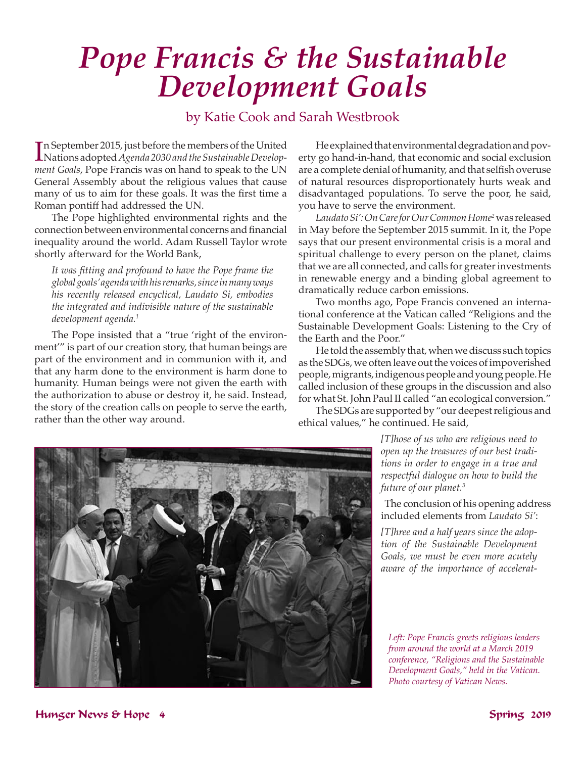# *Pope Francis & the Sustainable Development Goals*

by Katie Cook and Sarah Westbrook

In September 2015, just before the members of the United<br>Nations adopted *Agenda* 2030 and the Sustainable Develop-<br>way Casky Rane Fare signess on head to meet to the UNI Nations adopted *Agenda 2030 and the Sustainable Development Goals*, Pope Francis was on hand to speak to the UN General Assembly about the religious values that cause many of us to aim for these goals. It was the first time a Roman pontiff had addressed the UN.

The Pope highlighted environmental rights and the connection between environmental concerns and financial inequality around the world. Adam Russell Taylor wrote shortly afterward for the World Bank,

*It was fitting and profound to have the Pope frame the global goals' agenda with his remarks, since in many ways his recently released encyclical, Laudato Si, embodies the integrated and indivisible nature of the sustainable development agenda.1*

The Pope insisted that a "true 'right of the environment'" is part of our creation story, that human beings are part of the environment and in communion with it, and that any harm done to the environment is harm done to humanity. Human beings were not given the earth with the authorization to abuse or destroy it, he said. Instead, the story of the creation calls on people to serve the earth, rather than the other way around.

He explained that environmental degradation and poverty go hand-in-hand, that economic and social exclusion are a complete denial of humanity, and that selfish overuse of natural resources disproportionately hurts weak and disadvantaged populations. To serve the poor, he said, you have to serve the environment.

*Laudato Si': On Care for Our Common Home2*was released in May before the September 2015 summit. In it, the Pope says that our present environmental crisis is a moral and spiritual challenge to every person on the planet, claims that we are all connected, and calls for greater investments in renewable energy and a binding global agreement to dramatically reduce carbon emissions.

Two months ago, Pope Francis convened an international conference at the Vatican called "Religions and the Sustainable Development Goals: Listening to the Cry of the Earth and the Poor."

He told the assembly that, when we discuss such topics as the SDGs, we often leave out the voices of impoverished people, migrants, indigenous people and young people. He called inclusion of these groups in the discussion and also for what St. John Paul II called "an ecological conversion."

The SDGs are supported by "our deepest religious and ethical values," he continued. He said,

> *[T]hose of us who are religious need to open up the treasures of our best traditions in order to engage in a true and respectful dialogue on how to build the future of our planet.3*

The conclusion of his opening address included elements from *Laudato Si'*:

*[T]hree and a half years since the adoption of the Sustainable Development Goals, we must be even more acutely aware of the importance of accelerat-*

*Left: Pope Francis greets religious leaders from around the world at a March 2019 conference, "Religions and the Sustainable Development Goals," held in the Vatican. Photo courtesy of Vatican News.* 



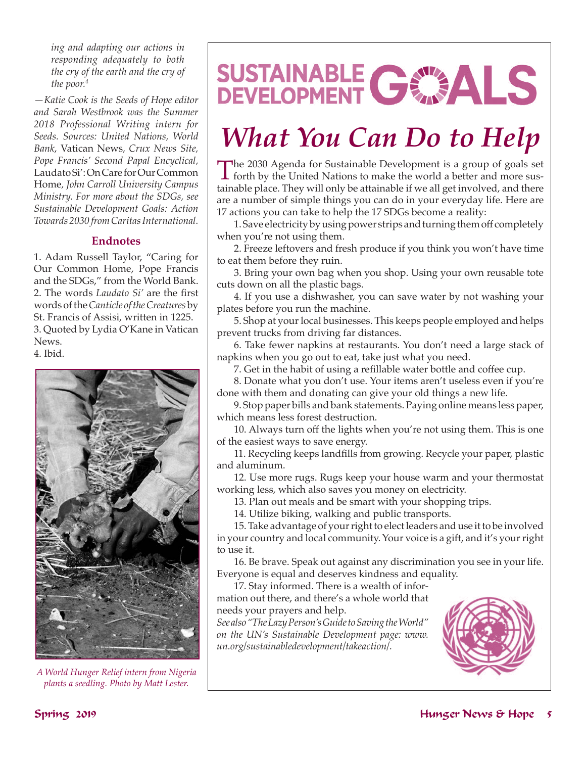*ing and adapting our actions in responding adequately to both the cry of the earth and the cry of the poor.4*

*—Katie Cook is the Seeds of Hope editor and Sarah Westbrook was the Summer 2018 Professional Writing intern for Seeds. Sources: United Nations, World Bank*, Vatican News*, Crux News Site, Pope Francis' Second Papal Encyclical,*  Laudato Si': On Care for Our Common Home*, John Carroll University Campus Ministry. For more about the SDGs, see Sustainable Development Goals: Action Towards 2030 from Caritas International.* 

#### **Endnotes**

1. Adam Russell Taylor, "Caring for Our Common Home, Pope Francis and the SDGs," from the World Bank. 2. The words *Laudato Si'* are the first words of the *Canticle of the Creatures* by St. Francis of Assisi, written in 1225. 3. Quoted by Lydia O'Kane in Vatican News.

4. Ibid.



*A World Hunger Relief intern from Nigeria plants a seedling. Photo by Matt Lester.*

# SUSTAINABLE GERALS

## *What You Can Do to Help*

The 2030 Agenda for Sustainable Development is a group of goals set forth by the United Nations to make the world a better and more sus-<br>this also also a Theoretill calculated this chief is the substantine last incolated a tainable place. They will only be attainable if we all get involved, and there are a number of simple things you can do in your everyday life. Here are 17 actions you can take to help the 17 SDGs become a reality:

1. Save electricity by using power strips and turning them off completely when you're not using them.

2. Freeze leftovers and fresh produce if you think you won't have time to eat them before they ruin.

3. Bring your own bag when you shop. Using your own reusable tote cuts down on all the plastic bags.

4. If you use a dishwasher, you can save water by not washing your plates before you run the machine.

5. Shop at your local businesses. This keeps people employed and helps prevent trucks from driving far distances.

6. Take fewer napkins at restaurants. You don't need a large stack of napkins when you go out to eat, take just what you need.

7. Get in the habit of using a refillable water bottle and coffee cup.

8. Donate what you don't use. Your items aren't useless even if you're done with them and donating can give your old things a new life.

9. Stop paper bills and bank statements. Paying online means less paper, which means less forest destruction.

10. Always turn off the lights when you're not using them. This is one of the easiest ways to save energy.

11. Recycling keeps landfills from growing. Recycle your paper, plastic and aluminum.

12. Use more rugs. Rugs keep your house warm and your thermostat working less, which also saves you money on electricity.

13. Plan out meals and be smart with your shopping trips.

14. Utilize biking, walking and public transports.

15. Take advantage of your right to elect leaders and use it to be involved in your country and local community. Your voice is a gift, and it's your right to use it.

16. Be brave. Speak out against any discrimination you see in your life. Everyone is equal and deserves kindness and equality.

17. Stay informed. There is a wealth of information out there, and there's a whole world that needs your prayers and help.

*See also "The Lazy Person's Guide to Saving the World" on the UN's Sustainable Development page: www. un.org/sustainabledevelopment/takeaction/.*

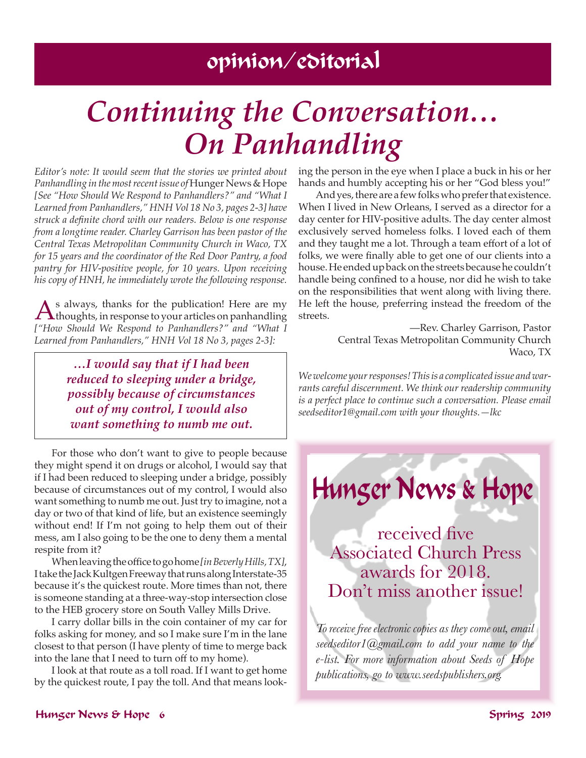## opinion/editorial

## *Continuing the Conversation… On Panhandling*

*Editor's note: It would seem that the stories we printed about Panhandling in the most recent issue of* Hunger News & Hope *[See "How Should We Respond to Panhandlers?" and "What I Learned from Panhandlers," HNH Vol 18 No 3, pages 2-3] have struck a definite chord with our readers. Below is one response from a longtime reader. Charley Garrison has been pastor of the Central Texas Metropolitan Community Church in Waco, TX for 15 years and the coordinator of the Red Door Pantry, a food pantry for HIV-positive people, for 10 years. Upon receiving his copy of HNH, he immediately wrote the following response.* 

 $\Lambda$ s always, thanks for the publication! Here are my<br>thoughts, in response to your articles on panhandling *["How Should We Respond to Panhandlers?" and "What I Learned from Panhandlers," HNH Vol 18 No 3, pages 2-3]:*

> *…I would say that if I had been reduced to sleeping under a bridge, possibly because of circumstances out of my control, I would also want something to numb me out.*

For those who don't want to give to people because they might spend it on drugs or alcohol, I would say that if I had been reduced to sleeping under a bridge, possibly because of circumstances out of my control, I would also want something to numb me out. Just try to imagine, not a day or two of that kind of life, but an existence seemingly without end! If I'm not going to help them out of their mess, am I also going to be the one to deny them a mental respite from it?

When leaving the office to go home *[in Beverly Hills, TX]*, I take the Jack Kultgen Freeway that runs along Interstate-35 because it's the quickest route. More times than not, there is someone standing at a three-way-stop intersection close to the HEB grocery store on South Valley Mills Drive.

I carry dollar bills in the coin container of my car for folks asking for money, and so I make sure I'm in the lane closest to that person (I have plenty of time to merge back into the lane that I need to turn off to my home).

I look at that route as a toll road. If I want to get home by the quickest route, I pay the toll. And that means look-

ing the person in the eye when I place a buck in his or her hands and humbly accepting his or her "God bless you!"

And yes, there are a few folks who prefer that existence. When I lived in New Orleans, I served as a director for a day center for HIV-positive adults. The day center almost exclusively served homeless folks. I loved each of them and they taught me a lot. Through a team effort of a lot of folks, we were finally able to get one of our clients into a house. He ended up back on the streets because he couldn't handle being confined to a house, nor did he wish to take on the responsibilities that went along with living there. He left the house, preferring instead the freedom of the streets.

> —Rev. Charley Garrison, Pastor Central Texas Metropolitan Community Church Waco, TX

*We welcome your responses! This is a complicated issue and warrants careful discernment. We think our readership community is a perfect place to continue such a conversation. Please email seedseditor1@gmail.com with your thoughts.—lkc*

Hunger News & Hope

received five Associated Church Press awards for 2018. Don't miss another issue!

*To receive free electronic copies as they come out, email seedseditor1@gmail.com to add your name to the e-list. For more information about Seeds of Hope publications, go to www.seedspublishers.org.*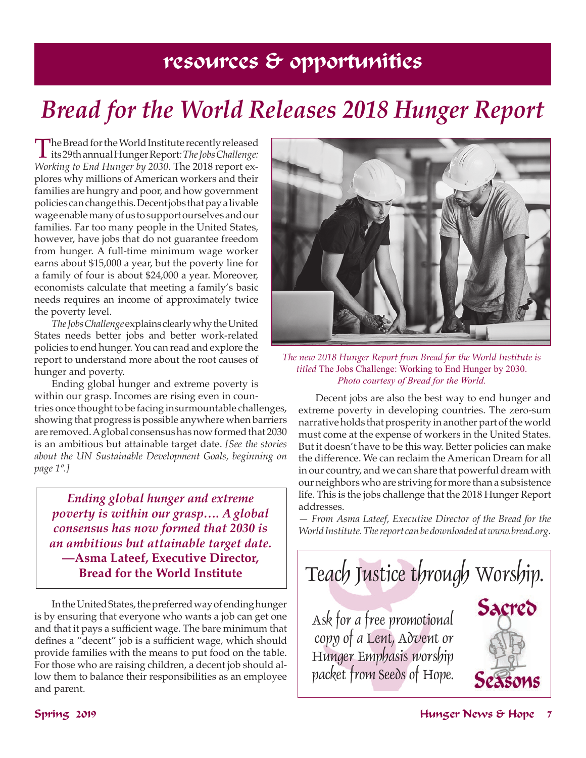## resources & opportunities

## *Bread for the World Releases 2018 Hunger Report*

The Bread for the World Institute recently released<br>its 29th annual Hunger Report*: The Jobs Challenge:*<br>Werking to Fud Hunger by 2020. The 2018 are not up *Working to End Hunger by 2030*. The 2018 report explores why millions of American workers and their families are hungry and poor, and how government policies can change this. Decent jobs that pay a livable wage enable many of us to support ourselves and our families. Far too many people in the United States, however, have jobs that do not guarantee freedom from hunger. A full-time minimum wage worker earns about \$15,000 a year, but the poverty line for a family of four is about \$24,000 a year. Moreover, economists calculate that meeting a family's basic needs requires an income of approximately twice the poverty level.

*The Jobs Challenge* explains clearly why the United States needs better jobs and better work-related policies to end hunger. You can read and explore the report to understand more about the root causes of hunger and poverty.

Ending global hunger and extreme poverty is within our grasp. Incomes are rising even in countries once thought to be facing insurmountable challenges, showing that progress is possible anywhere when barriers are removed. A global consensus has now formed that 2030 is an ambitious but attainable target date. *[See the stories about the UN Sustainable Development Goals, beginning on page 1º.]*

*Ending global hunger and extreme poverty is within our grasp…. A global consensus has now formed that 2030 is an ambitious but attainable target date.* **—Asma Lateef, Executive Director, Bread for the World Institute**

In the United States, the preferred way of ending hunger is by ensuring that everyone who wants a job can get one and that it pays a sufficient wage. The bare minimum that defines a "decent" job is a sufficient wage, which should provide families with the means to put food on the table. For those who are raising children, a decent job should allow them to balance their responsibilities as an employee and parent.



*The new 2018 Hunger Report from Bread for the World Institute is titled* The Jobs Challenge: Working to End Hunger by 2030. *Photo courtesy of Bread for the World.*

Decent jobs are also the best way to end hunger and extreme poverty in developing countries. The zero-sum narrative holds that prosperity in another part of the world must come at the expense of workers in the United States. But it doesn't have to be this way. Better policies can make the difference. We can reclaim the American Dream for all in our country, and we can share that powerful dream with our neighbors who are striving for more than a subsistence life. This is the jobs challenge that the 2018 Hunger Report addresses.

*— From Asma Lateef, Executive Director of the Bread for the World Institute. The report can be downloaded at www.bread.org.*